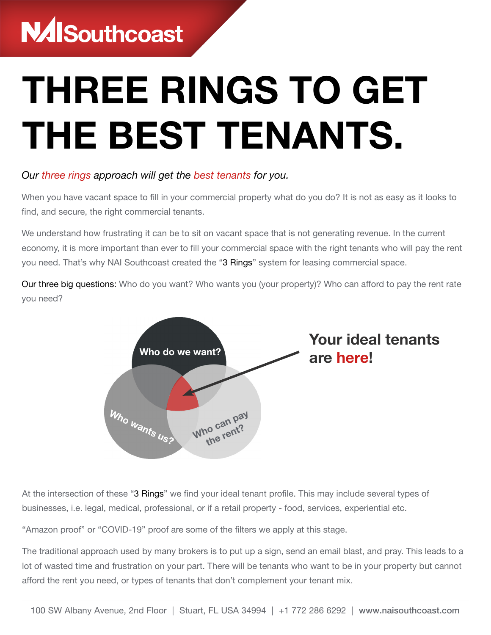## **NAISouthcoast**

# THREE RINGS TO GET THE BEST TENANTS.

#### *Our three rings approach will get the best tenants for you.*

When you have vacant space to fill in your commercial property what do you do? It is not as easy as it looks to find, and secure, the right commercial tenants.

We understand how frustrating it can be to sit on vacant space that is not generating revenue. In the current economy, it is more important than ever to fill your commercial space with the right tenants who will pay the rent you need. That's why NAI Southcoast created the "3 Rings" system for leasing commercial space.

Our three big questions: Who do you want? Who wants you (your property)? Who can afford to pay the rent rate you need?



At the intersection of these "3 Rings" we find your ideal tenant profile. This may include several types of businesses, i.e. legal, medical, professional, or if a retail property - food, services, experiential etc.

"Amazon proof" or "COVID-19" proof are some of the filters we apply at this stage.

The traditional approach used by many brokers is to put up a sign, send an email blast, and pray. This leads to a lot of wasted time and frustration on your part. There will be tenants who want to be in your property but cannot afford the rent you need, or types of tenants that don't complement your tenant mix.